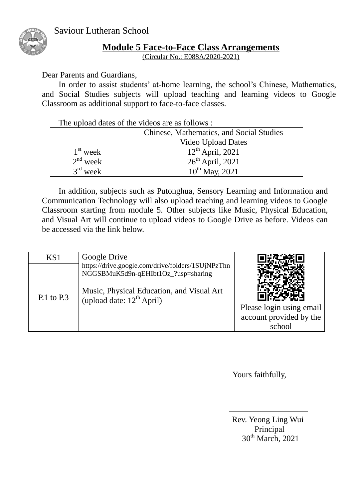

## **Module 5 Face-to-Face Class Arrangements**

(Circular No.: E088A/2020-2021)

Dear Parents and Guardians,

In order to assist students' at-home learning, the school's Chinese, Mathematics, and Social Studies subjects will upload teaching and learning videos to Google Classroom as additional support to face-to-face classes.

The upload dates of the videos are as follows :

|                      | Chinese, Mathematics, and Social Studies |  |
|----------------------|------------------------------------------|--|
|                      | <b>Video Upload Dates</b>                |  |
| $1st$ week           | $12^{th}$ April, 2021                    |  |
| $2nd$ week           | $26^{th}$ April, 2021                    |  |
| $3^{\text{rd}}$ week | $10^{th}$ May, 2021                      |  |

In addition, subjects such as Putonghua, Sensory Learning and Information and Communication Technology will also upload teaching and learning videos to Google Classroom starting from module 5. Other subjects like Music, Physical Education, and Visual Art will continue to upload videos to Google Drive as before. Videos can be accessed via the link below.

| KS <sub>1</sub> | Google Drive                                                                                                                                                                   |                                   |
|-----------------|--------------------------------------------------------------------------------------------------------------------------------------------------------------------------------|-----------------------------------|
| $P.1$ to $P.3$  | https://drive.google.com/drive/folders/1SUjNPzThn<br>NGGSBMuK5d9n-qEHIbt1Oz_?usp=sharing<br>Music, Physical Education, and Visual Art<br>(upload date: 12 <sup>th</sup> April) | Please login using email          |
|                 |                                                                                                                                                                                | account provided by the<br>school |

Yours faithfully,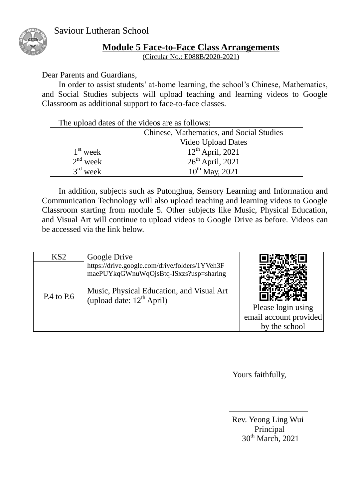

## **Module 5 Face-to-Face Class Arrangements**

(Circular No.: E088B/2020-2021)

Dear Parents and Guardians,

In order to assist students' at-home learning, the school's Chinese, Mathematics, and Social Studies subjects will upload teaching and learning videos to Google Classroom as additional support to face-to-face classes.

The upload dates of the videos are as follows:

|                     | Chinese, Mathematics, and Social Studies |  |
|---------------------|------------------------------------------|--|
|                     | <b>Video Upload Dates</b>                |  |
| $1st$ week          | $12^{th}$ April, 2021                    |  |
| $2nd$ week          | $26th$ April, 2021                       |  |
| $\gamma$ ra<br>week | $10^{th}$ May, 2021                      |  |

In addition, subjects such as Putonghua, Sensory Learning and Information and Communication Technology will also upload teaching and learning videos to Google Classroom starting from module 5. Other subjects like Music, Physical Education, and Visual Art will continue to upload videos to Google Drive as before. Videos can be accessed via the link below.

| KS <sub>2</sub> | Google Drive                                                                                                                          |                                                               |
|-----------------|---------------------------------------------------------------------------------------------------------------------------------------|---------------------------------------------------------------|
|                 | https://drive.google.com/drive/folders/1YVeh3F<br>maePUYkqGWnuWqOjsBtq-ISxzs?usp=sharing<br>Music, Physical Education, and Visual Art |                                                               |
| $P.4$ to $P.6$  | (upload date: $12^{th}$ April)                                                                                                        | Please login using<br>email account provided<br>by the school |

Yours faithfully,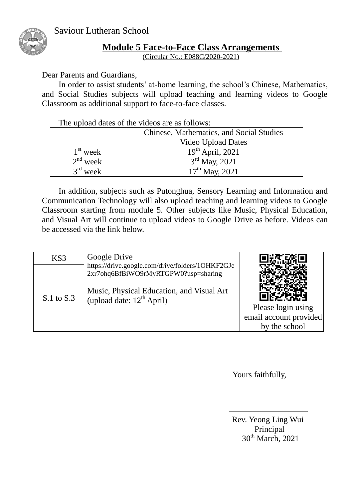

## **Module 5 Face-to-Face Class Arrangements**

(Circular No.: E088C/2020-2021)

Dear Parents and Guardians,

In order to assist students' at-home learning, the school's Chinese, Mathematics, and Social Studies subjects will upload teaching and learning videos to Google Classroom as additional support to face-to-face classes.

The upload dates of the videos are as follows:

|                     | Chinese, Mathematics, and Social Studies |  |
|---------------------|------------------------------------------|--|
|                     | <b>Video Upload Dates</b>                |  |
| $1st$ week          | $19^{th}$ April, 2021                    |  |
| $2nd$ week          | $3rd$ May, 2021                          |  |
| $\gamma$ rd<br>week | $17^{\text{th}}$ May, 2021               |  |

In addition, subjects such as Putonghua, Sensory Learning and Information and Communication Technology will also upload teaching and learning videos to Google Classroom starting from module 5. Other subjects like Music, Physical Education, and Visual Art will continue to upload videos to Google Drive as before. Videos can be accessed via the link below.

| KS3            | Google Drive                                                                             |                        |
|----------------|------------------------------------------------------------------------------------------|------------------------|
|                | https://drive.google.com/drive/folders/1OHKF2GJe<br>2xr7ohq6BfBiWO9rMyRTGPW0?usp=sharing |                        |
| $S.1$ to $S.3$ | Music, Physical Education, and Visual Art<br>(upload date: $12^{th}$ April)              |                        |
|                |                                                                                          | Please login using     |
|                |                                                                                          | email account provided |
|                |                                                                                          | by the school          |

Yours faithfully,